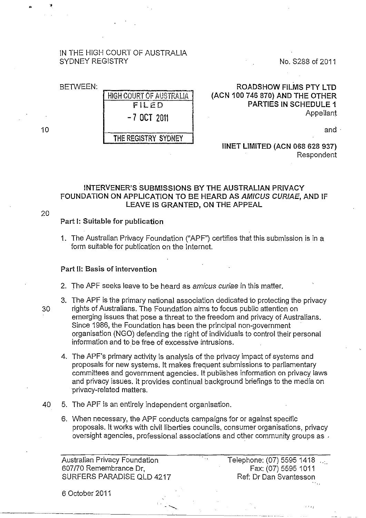## IN THE HIGH COURT OF AUSTRALIA SYDNEY REGISTRY

No. S288 of 2011

# BETWEEN:

HIGH COURT OF AUSTRALIA FILED **-7 OCT 2011 THE** REGISTRY SYDNEY

**ROADSHOW FILMS PTY LTD (ACN 100 746 870) AND THE OTHER PARTIES IN SCHEDULE 1**  Appellant

and  $\cdot$ 

**IINET LIMITED {ACN 068 628 937)**  Respondent

# **INTERVENER'S SUBMISSIONS BY THE AUSTRALIAN. PRIVACY FOUNDATION ON APPLICATION TO BE HEARD AS AMICUS CURIAE, AND IF LEAVE IS GRANTED, ON THE APPEAL**

20

10

#### **Part 1: Suitable for publication**

**1.** The Australian Privacy Foundation ("APF") certifies that this submission is in a form suitable for publication on the Internet.

#### **Part II: Basis of intervention**

- 2. The APF seeks leave to be heard as amicus curiae in this matter.
- 3. The APF is the primary national association dedicated to protecting the privacy 30 rights of Australians. The Foundation aims to focus public attention on emerging issues that pose a threat to the freedom and privacy of Australians. Since 1986, the Foundation has been the principal non-government organisation {NGO) defending the right of individuals to control their personal information and to be free of excessive intrusions.
	- 4. The APF's primary activity is analysis of the privacy impact of systems and proposals for new systems. It makes frequent submissions to parliamentary committees and government agencies. It publishes information on privacy laws and privacy issues. It provides continual background briefings to the media on privacy-related matters.
- 40 5. The APF is an entirely independent organisation.
	- 6. When necessary, the APF conducts campaigns for or against specific proposals. It works with civil liberties councils, consumer organisations, privacy oversight agencies, professional associations and other community groups as  $\overline{\phantom{a}}$

Australian Privacy Foundation 607/70 Remembrance Dr, SURFERS PARADISE QLD 4217 Telephone: (07) 5595 1418 Fax: (07) 5595 1011 Ref: Dr Dan Svantesson

 $\epsilon_{\rm M}$ 

6 October 2011

----·~~-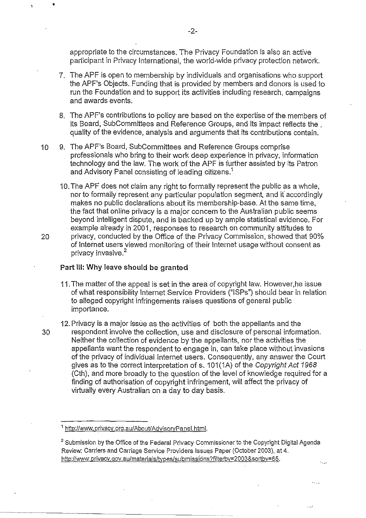appropriate to the circumstances. The Privacy Foundation is also an active participant in Privacy International, the world-wide privacy protection network.

- 7. The APF is open to membership by individuals and organisations who support the APF's Objects. Funding that is provided by members and donors is used to run the Foundation and to support its activities including research, campaigns and awards events.
- 8. The APF's contributions to policy are based on the expertise of the members of its Board, SubCommittees and Reference Groups, and its impact reflects the . quality of the evidence, analysis and arguments that its contributions contain.
- 10 9. The APF's Board, SubCommittees and Reference Groups comprise professionals who bring to their work deep experience in privacy, information technology and the law. The work of the APF is further assisted by its Patron and Advisory Panel consisting of leading citizens.<sup>1</sup>
- 10. The APF does not claim any right to formally represent the public as a whole, nor to formally represent any particular population segment, and if accordingly makes no public declarations about its membership-base. At the same time, the fact that online privacy is a major concern to the Australian public seems beyond intelligent dispute, and is backed up by ample statistical evidence. For example already in 2001, responses to research on community attitudes to 20 privacy, conducted by the Office of the Privacy Commission, showed that 90% of Internet users viewed monitoring of their Internet usage without consent as privacy invasive.<sup>2</sup>

### Part Ill: **Why** leave should be granted

'l ,

- 11. The matter of the appeal is set in the area of copyright law. However, he issue of what responsibility Internet Service Providers ("ISPs") should bear in relation to alleged copyright infringements raises questions of general public importance.
- 12. Privacy is a major issue as the activities of both the appellants and the 30 respondent involve the collection, use and disclosure of personal information. Neither the collection of evidence by the appellants, nor the activities the appellants want the respondent to engage in, can take place without invasions of the privacy of individual Internet users. Consequently, any answer the Court gives as to the correct interpretation of s. 101 (1A) of the Copyright Act 1968 (Cth), and more broadly to the question of the level of knowledge required for a finding of authorisation of copyright infringement, will affect the privacy of virtually every Australian on a day to day basis.

. ...

*. ,i* 

-2-

http://www.privacy.org.au/About/AdvisoryPanel.html.

<sup>&</sup>lt;sup>2</sup> Submission by the Office of the Federal Privacy Commissioner to the Copyright Digital Agenda Review: Carriers and Carriage Service Providers Issues Paper (October 2003), at 4. http://www.privacy.gov.au/materials/types/submissions?filterby=2003&sortby=65.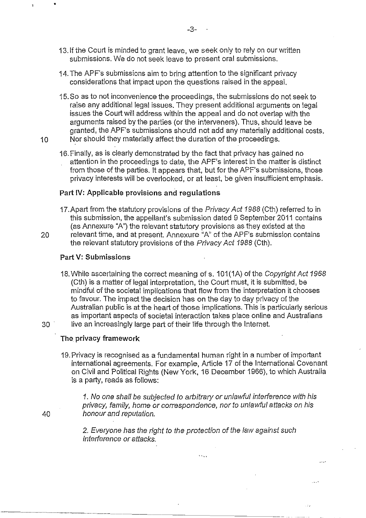- 13.lf the Court is minded to grant leave, we seek only to rely on our written submissions. We do not seek leave to present oral submissions.
- 14. The APF's submissions aim to bring attention to the significant privacy considerations that impact upon the questions raised in the appeal.

15. So as to not inconvenience the proceedings, the submissions do not seek to raise any additional legal issues. They present additional arguments on legal issues the Court will address within the appeal and do not overlap with the arguments raised by the parties (or the interveners). Thus, should leave be granted, the APF's submissions should not add any materially additional costs. 10 Nor should they materially affect the duration of the proceedings.

16. Finally, as is clearly demonstrated by the fact that privacy has gained no attention **in** the proceedings to date, the APF's interest in the matter is distinct from those of the parties. It appears that, but for the APF's submissions, those privacy interests will be overlooked, or at least, be given insufficient emphasis.

### **Part IV: Applicable provisions and regulations**

17. Apart from the statutory provisions of the Privacy Act 1988 (Cth) referred to in this submission, the appellant's submission dated 9 September 2011 contains (as Annexure "A") the relevant statutory provisions as they existed at the 20 relevant time, and at present. Annexure "A" of the APF's submission contains the relevant statutory provisions of the Privacy Act 1988 (Cth).

### **Part V: Submissions**

18. While ascertaining the correct meaning of s. 101 (1A) of the Copyright Act 1968 (Cth) is a matter of legal interpretation, the Court must, it is submitted, be mindful of the societal implications that flow from the interpretation it chooses to favour. The impact the decision has on the day to day privacy of the Australian public is at the heart of those implications. This is particularly serious as important aspects of societal interaction takes place online and Australians 30 · live an increasingly large part of their life through the Internet.

#### **The. privacy framework**

19. Privacy is recognised as a fundamental human right in a number of important international agreements. For example, Article 17 of the International Covenant on Civil and Political Rights (New York, 16 December 1966), to which Australia is a party, reads as follows:

1. No one shalf be subjected to arbitrary or unlawful interference with his privacy, family, home or correspondence, nor to unlawful attacks on his 40 honour and reputation.

,,,,

a.

2. Everyone has the right to the protection of the law against such interference or attacks.

•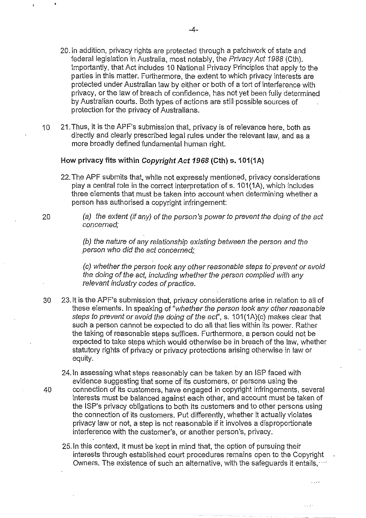- 20.ln addition, privacy rights are protected through a patchwork of state and federal legislation in Australia, most notably, the Privacy Act 1988 (Cth). Importantly, that Act includes 10 National Privacy Principles that apply to the parties in this matter. Furthermore, the extent to which privacy interests are protected under Australian law by either or both of a tort of interference with privacy, or the law of breach of confidence, has not yet been fully determined by Australian courts. Both types of actions are still possible sources of protection for the privacy of Australians.
- 10 21. Thus, it is the APF's submission that, privacy is of relevance here, both as directly and clearly prescribed legal rules under the relevant law, and as a more broadly defined fundamental human right.

#### **How privacy fits within Copyright Act 1968 (Cth) s. 101(1A)**

- 22. The APF submits that, while not expressly mentioned, privacy considerations play a central role in the correct interpretation of s. 101 (1A), which includes three elements that must be taken into account when determining whether a person has authorised a copyright infringement:
- 20 (a) the extent (if any) of the person's power to prevent the doing of the act concerned;

(b) the nature of any relationship existing between the person and the person who did the act concerned;

(c) whether the person took any other reasonable steps to prevent or avoid the doing of the act, including whether the person complied with any relevant industry codes of practice.

- 30 23.lt is the APF's submission that, privacy considerations arise in relation to all of these elements. In speaking of "whether the person took any other reasonable steps to prevent or avoid the doing of the acf', s. 101 (1A)(c) makes clear that such a person cannot be expected to do all that lies within its power. Rather the taking of reasonable steps suffices. Furthermore, a person could not be expected to take steps which would otherwise be in breach of the law, whether statutory rights of privacy or privacy protections arising otherwise in law or equity.
- 24.1n assessing what steps reasonably can be taken by an ISP faced with evidence suggesting that some of its customers, or persons using the 40 connection of its customers, have engaged in copyright infringements, several interests must be balanced against each other, and account must be taken of the ISP's privacy obligations to both its customers and to other persons using the connection of its customers. Put differently, whether it actually violates privacy law or not, a step is not reasonable if it involves a disproportionate interference with the customer's, or another person's, privacy.
	- 25.1n this context, it must be kept in mind that, the option of pursuing their interests through established court procedures remains open to the Copyright Owners. The existence of such an alternative, with the safeguards it entails,  $\cdots$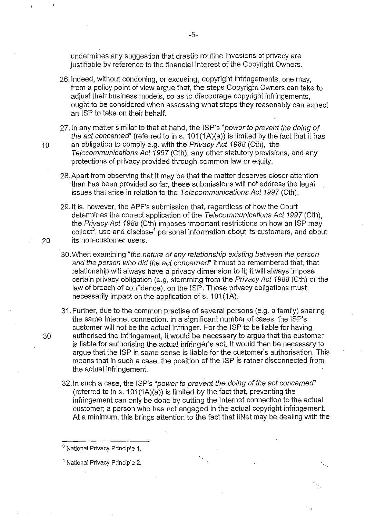undermines any suggestion that drastic routine invasions of privacy are justifiable by reference to the financial interest of the Copyright Owners.

-5-

- 26.lndeed, without condoning, or excusing, copyright infringements, one may, from a policy point of view argue that, the steps Copyright Owners can take to adjust their business models, so as to discourage copyright infringements, ought to be considered when assessing what steps they reasonably can expect an ISP to take on their behalf.
- 27. In any matter similar to that at hand, the ISP's "power to prevent the doing of the act concerned" (referred to in s.  $101(1A)(a)$ ) is limited by the fact that it has 10 an obligation to comply e.g. with the *Privacy Act 1988* (Cth), the Telecommunications Act 1997 (Cth), any other statutory provisions, and any
	- 28.Apart from observing that it may be that the matter deserves closer attention than has been provided so far, these submissions will not address the legal issues that arise in relation to the Telecommunications Act 1997 (Cth).

protections of privacy provided through common law or equity.

- 29.lt is, however, the APF's submission that, regardless of how the Court determines the correct application of the Telecommunications Act 1997 (Cth), the Privacy Act 1988 (Cth) imposes important restrictions on how an ISP may  $\text{collect}^3$ , use and disclose<sup>4</sup> personal information about its customers, and about 20 its non-customer users.
	- 30. When examining "the nature of any relationship existing between the person and the person who did the act concerned' it must be remembered that, that relationship will always have a privacy dimension to it; it will always impose certain privacy obligation (e.g. stemming from the Privacy Act 1988 (Cth) or the law of breach of confidence), on the ISP. Those privacy obligations must necessarily impact on the application of s. 101(1A).
- 31. Further, due to the common practise of several persons (e.g. a family) sharing the same Internet connection, in a significant number of cases, the ISP's customer will not be the actual infringer. For the ISP to be liable for having 30 authorised the infringement, it would be necessary to argue that the customer is liable for authorising the actual infringer's act. It would then be necessary to argue that the ISP in some sense is liable for the customer's authorisation. This means that in such a case, the position of the ISP is rather disconnected from the actual infringement.
	- 32. In such a case, the ISP's "power to prevent the doing of the act concerned" (referred to in s. 101 $(1A)(a)$ ) is limited by the fact that, preventing the infringement can only be done by cutting the Internet connection to the actual customer; a person who has not engaged in the actual copyright infringement. At a minimum, this brings attention to the fact that iiNet may be dealing with the

<sup>&</sup>lt;sup>3</sup> National Privacy Principle 1.

<sup>&</sup>lt;sup>4</sup> National Privacy Principle 2.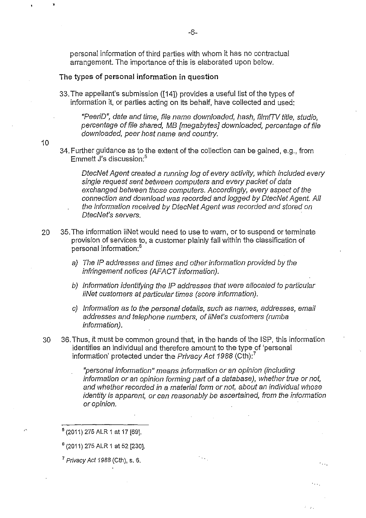personal information of third parties with whom it has no contractual arrangement. The importance of this is elaborated upon below.

#### **The types of personal information in question**

33. The appellant's submission ([14]) provides a useful list of the types of information it, or parties acting on its behalf, have collected and used:

"PeeriD", date and time, file name downloaded, hash, filmfTV title, studio, percentage of file shared, MB [megabytes] downloaded, percentage of file downloaded, peer host name and country.

10

34. Further guidance as to the extent of the collection can be gained, e.g., from Emmett J's discussion:<sup>5</sup>

DtecNet Agent created a running Jog of every activity, which included every single request sent between computers and every packet of data exchanged between those computers. Accordingly, every aspect of the connection and download was recorded and Jogged by DtecNet Agent. All the information received by DtecNet Agent was recorded and stored on DtecNet's servers.

- 20 35. The information iiNet would need to use to warn, or to suspend or terminate provision of services to, a customer plainly fall within the classification of personal information:<sup>6</sup>
	- a) The IP addresses and times and other information provided by the infringement notices (AFACT information).
	- b) Information identifying the IP addresses that were allocated to particular iiNet customers at particular times (score information).
	- c) Information as to the personal details, such as names, addresses, email addresses and telephone numbers, of iiNet's customers (rumba information).
- 30 36. Thus, it must be common ground that, **in** the hands of the ISP, this information identifies an individual and therefore amount to the type of 'personal information' protected under the Privacy Act 1988 (Cth):

"personal information" means information or an opinion (including information or an opinion forming part of a database), whether true or not, and whether recorded in a material form or not, about an individual whose identity is apparent, or can reasonably be ascertained, from the information or opinion.

tiva.

 $\cdot$  .

5 (2011) 275 ALR 1 at 17 [69].

 $7$  Privacy Act 1988 (Cth), s. 6.

 $6$  (2011) 275 ALR 1 at 52 [230].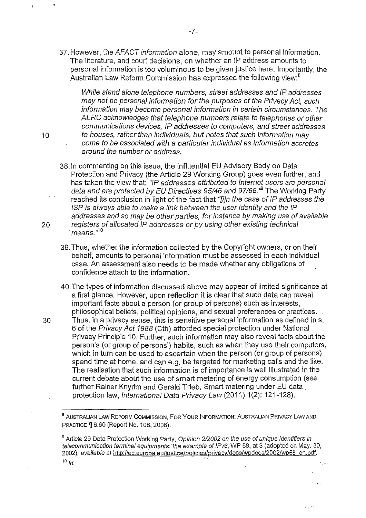37. However, the AFACT information alone, may amount to personal information. The literature, and court decisions, on whether an lP address amounts to personal information is too voluminous to be given justice here. Importantly, the Australian Law Reform Commission has expressed the following view:<sup>8</sup>

While stand alone telephone numbers, street addresses and IP addresses may not be personal information for the purposes of the Privacy Act, such information may become personal information in certain circumstances. The ALRC acknowledges that telephone numbers relate to telephones or other communications devices, IP addresses to computers, and street addresses 10 to houses, rather than individuals, but notes that such information may come to be associated with a particular individual as information accretes around the number or address.

- 38.1n commenting on this issue, the influential EU Advisory Body on Data Protection and Privacy (the Article 29 Working Group) goes even further, and has taken the view that: "IP addresses attributed to Internet users are personal data and are protected by EU Directives 95146 and 97/66.'*9* The Working Party reached its conclusion in light of the fact that "[i]n the case of IP addresses the ISP is always able to make a link between the user identity and the IP addresses and so may be other parties, for instance by making use of available 20 registers of allocated IP addresses or by using other existing technical means."<sup>10</sup>
	- 39. Thus, whether the information collected by the Copyright owners, or on their behalf, amounts to personal information must be assessed in each individual case. An assessment also needs to be made whether any obligations of confidence attach to the information.
	- 40. The types of information discussed above may appear of limited significance at a first glance. However, upon reflection it is clear that such data can reveal important facts about a person (or group of persons) such as interests, philosophical beliefs, political opinions, and sexual preferences or practices.
- 30 Thus, in a privacy sense, this is sensitive personal information as defined in s. 6 of the Privacy Act *1988* (Cth) afforded special protection under National Privacy Principle 10. Further, such information may also reveal facts about the person's (or group of persons') habits, such as when they use their computers, which in turn can be used to ascertain when the person (or group of persons) spend time at home, and can e.g. be targeted for marketing calls and the like. The realisation that such information is of importance is well illustrated in the current debate about the use of smart metering of energy consumption (see further Rainer Knyrim and Gerald Trieb, Smart metering under EU data . protection law, International Data Privacy Law (2011) 1(2): 121-128).

·. , .

 $L \times L$ 

-7-

<sup>&</sup>lt;sup>8</sup> AUSTRALIAN LAW REFORM COMMISSION, FOR YOUR INFORMATION: AUSTRALIAN PRIVACY LAW AND PRACTICE 1 6.60 (Report No. 108, 2008).

<sup>&</sup>lt;sup>9</sup> Article 29 Data Protection Working Party, Opinion 2/2002 on the use of unique identifiers in telecommunication terminal equipments: the example of IPv6, WP 58, at 3 (adopted on May. 30, 2002), available at http://ec.europa.euliustice/policies/privacy/docs/wpdocs/2002/wp58 en.pdf . 10 */d.* . , · ...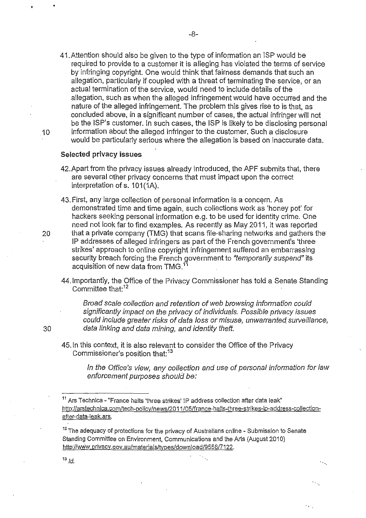41.Attention should also be given to the type of information an ISP would be required to provide to a customer it is alleging has violated the terms of service by infringing copyright. One would think that fairness demands that such an allegation, particularly if coupled with a threat of terminating the service, or an actual termination of the service, would need to include details of the allegation, such as when the alleged infringement would have occurred and the nature of the alleged infringement. The problem this gives rise to is that, as concluded above, in a significant number of cases, the actual infringer will not be the ISP's customer. In such cases, the ISP is likely to be disclosing personal 10 information about the alleged infringer to the .customer. Such a disclosure would be particularly serious where the allegation is based on inaccurate data.

#### **Selected privacy issues**

- 42.Apart from the privacy issues already introduced, the APF submits that, there are several other privacy concerns that must impact upon the correct interpretation of s. 101(1A).
- 43. First, any large collection of personal information is a concern. As demonstrated time and time again, such collections work as 'honey pot' for hackers seeking personal information e.g. to be used for identity crime. One need not look far to find examples. As recently as May 2011, it was reported 20 that a private company (TMG) that scans file-sharing networks and gathers the IP addresses of alleged infringers as part of the French government's 'three strikes' approach to online copyright infringement suffered an embarrassing security breach forcing the French government to "temporarily suspend" its acquisition of new data from TMG.
	- 44.1mportantly, the Office of the Privacy Commissioner has told a Senate Standing Committee that:<sup>12</sup>

Broad scale collection and retention of web browsing information could significantly impact on the privacy of individuals. Possible privacy issues could include greater risks of data loss or misuse, unwarranted surveillance, 30 data linking and data mining, and identity theft.

45.ln this context, it is also relevant to consider the Office of the Privacy Commissioner's position that:<sup>13</sup>

> In the Office's view, any collection and use of personal information for law enforcement purposes should be:

 $13$  *<i>ld.* 

<sup>&</sup>lt;sup>11</sup> Ars Technica - "France halts 'three strikes' IP address collection after data leak" http://arstechnica.com/tech-policy/news/2011/05/france-halts-three-strikes-ip-address-collectionafter-data-leak.ars.

<sup>&</sup>lt;sup>12</sup> The adequacy of protections for the privacy of Australians online - Submission to Senate Standing Committee on Environment, Communications and the Arts (August 2010) http://www.privacy.gov.au/materials/types/download/9558/7122.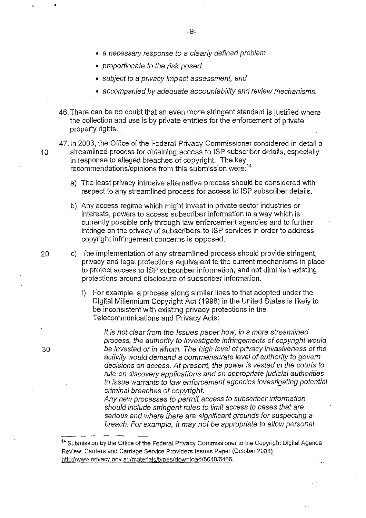- a necessary response to a clearly defined problem
- proportionate to the risk posed
- subject to a privacy impact assessment, and
- accompanied by adequate accountability and review mechanisms.

46. There can be no doubt that an even more stringent standard is justified where the collection and use is by private entities for the enforcement of private property rights.

47.1n 2003, the Office of the Federal Privacy Commissioner considered in detail a 10 streamlined process for obtaining access to ISP subscriber details, especially in response to alleged breaches of copyright. The key recommendations/opinions from this submission were: <sup>14</sup>

- a) The least privacy intrusive alternative process should be considered with respect to any streamlined process for access to ISP subscriber details.
- b) Any access regime which might invest in private sector industries or interests, powers to access subscriber information in a way which is currently possible only through law enforcement agencies and to further infringe on the privacy of subscribers to ISP services in order to address copyright infringement concerns is opposed.
- 20 c) The implementation of any streamlined process should provide stringent, privacy and legal protections equivalent to the current mechanisms in place to protect access to ISP subscriber information, and not diminish existing protections around disclosure of subscriber information.
	- i) For example, a process along similar lines to that adopted under the Digital Millennium Copyright Act (1998) in the United States is likely to be inconsistent with existing privacy protections in the Telecommunications and Privacy Acts:

It is not clear from the Issues paper how, in a more streamlined process, the authority to investigate infringements of copyright would be invested or in whom. The high level of privacy invasiveness of the activity would demand a commensurate level of authority to govern decisions on access. At present, the power is vested in the courts to rule on discovery applications and on appropriate judicial authorities to issue warrants to law enforcement agencies investigating potential criminal breaches of copyright.

Any new processes to permit access to subscriber information should include stringent rules to limit access to cases that are serious and where there are significant grounds for suspecting a breach. For example, it may not be appropriate to allow personal

<sup>&</sup>lt;sup>14</sup> Submission by the Office of the Federal Privacy Commissioner to the Copyright Digital Agenda Review: Carriers and Carriage Service Providers Issues Paper (October 2003). http://www.privacy.qov.au/materials/types/download/8640/6486.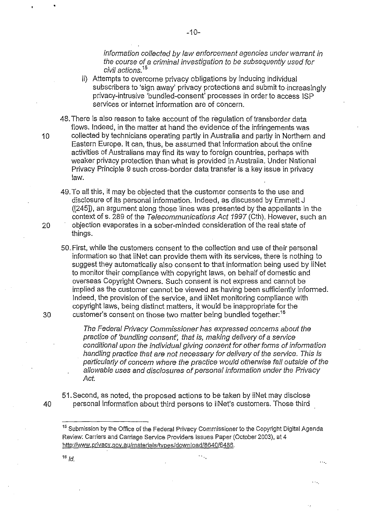information collected by law enforcement agencies under warrant in the course of a criminal investigation to be subsequently used for civil actions. *<sup>15</sup>*

- ii) Attempts to overcome privacy obligations by inducing individual subscribers to 'sign away' privacy protections and submit to increasingly privacy-intrusive 'bundled-consent' processes in order to access ISP services or internet information are of concern.
- 48. There is also reason to take account of the regulation of transborder data flows. Indeed, in the matter at hand the evidence of the infringements was 10 collected by technicians operating partly in Australia and partly in Northern and Eastern Europe. It can, thus, be assumed that information about the online activities of Australians may find its way to foreign countries, perhaps with weaker privacy protection than what is provided in Australia. Under National Privacy Principle 9 such cross-border data transfer is a key issue in privacy law.
- 49. To all this, it may be objected that the customer consents to the use and disclosure of its personal information. Indeed, as discussed by Emmett J ([245]), an argument along those lines was presented by the appellants in the context of s. 289 of the Telecommunications Act 1997 (Cth). However, such an 20 cobjection evaporates in a sober-minded consideration of the real state of
- 50. First, while the customers consent to the collection and use of their personal information so that iiNet can provide them with its services, there is nothing to suggest they automatically also consent to that information being used by iiNet to monitor their compliance with copyright laws, on behalf of domestic and overseas Copyright Owners. Such consent is not express and cannot be implied as the customer cannot be viewed as having been sufficiently informed. Indeed, the provision of the service, and iiNet monitoring compliance with copyright laws, being distinct matters, it would be inappropriate for the 30 customer's consent on those two matter being bundled together:<sup>16</sup>

The Federal Privacy Commissioner has expressed concerns about the practice of 'bundling consent; that is, making delivery of a service conditional upon the individual giving consent for other forms of information handling practice that are not necessary for delivery of the service. This is particularly of concern where the practice would otherwise fall outside of the allowable uses and disclosures of personal information under the Privacy Act.

51.Second, as noted, the proposed actions to be taken by iiNet may disclose 40 personal information about third persons to iiNet's customers. Those third

 $\hat{\mathbf{v}}$ 

16 */d.* 

things.

<sup>&</sup>lt;sup>15</sup> Submission by the Office of the Federal Privacy Commissioner to the Copyright Digital Agenda Review: Carriers and Carriage Service Providers Issues Paper (October 2003), at 4 http://www.privacy.qov.au/materials/types/download/8640/6486.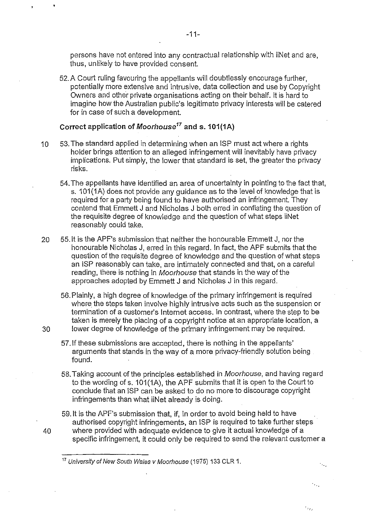persons have not entered into any contractual relationship with iiNet and are, thus, unlikely to have provided consent.

52. A Court ruling favouring the appellants will doubtlessly encourage further, potentially more extensive and intrusive, data collection and use by Copyright Owners and other private organisations acting on their behalf. It is hard to imagine how the Australian public's legitimate privacy interests will be catered for in case of such a development.

# Correct application of Moorhouse<sup>17</sup> and s. **101(1A)**

- 10 53. The standard applied in determining when an ISP must act where a rights holder brings attention to an alleged infringement will inevitably have privacy implications. Put simply, the lower that standard is set, the greater the privacy risks.
	- 54. The appellants have identified an area of uncertainty in pointing to the fact that, s. 101(1A) does not provide any quidance as to the level of knowledge that is required for a party being found to have authorised an infringement. They contend that Emmett J and Nicholas J both erred in conflating the question of the requisite degree of knowledge and the question of what steps iiNet reasonably could take.
- 20 55.Jt is the APF's submission that neither the honourable Emmett J, nor the honourable Nicholas J, erred in this regard. In fact, the APF submits that the question of the requisite degree of knowledge and the question of what steps an JSP reasonably can take, are intimately connected and that, on a careful reading, there is nothing in Moorhouse that stands in the way of the approaches adopted by Emmett J and Nicholas J in this regard.
- 56. Plainly, a high degree of knowledge. of the primary infringement is required where the steps taken involve highly intrusive acts such as the suspension or termination of a customer's Internet access. In contrast, where the step to be taken is merely the placing of a copyright notice at an appropriate location, a 30 lower degree of knowledge of the primary infringement may be required.
	- 57.1f these submissions are accepted, there is nothing in the appellants' arguments that stands in the way of a more privacy-friendly solution being found.
	- 58. Taking account of the principles established in Moorhouse, and having regard to the wording of s. 101(1A), the APF submits that it is open to the Court to conclude that an ISP can be asked to do no more to discourage copyright infringements than what iiNet already is doing.
- 59.Jt is the APF's submission that, if, in order to avoid being held to have authorised copyright infringements, an ISP is required to take further steps 40 where provided with adequate evidence to give it actual knowledge of a specific infringement, it could only be required to send the relevant customer a

*'!t* 

•

# -11-

<sup>&</sup>lt;sup>17</sup> University of New South Wales v Moorhouse (1975) 133 CLR 1.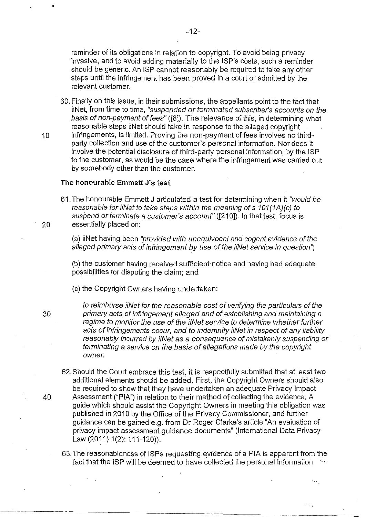reminder of its obligations in relation to copyright. To avoid being privacy invasive, and to avoid adding materially to the ISP's costs, such a reminder should be generic. An ISP cannot reasonably be required to take any other steps until the infringement has been proved in a court or admitted by the relevant customer.

60. Finally on this issue, in their submissions, the appellants point to the fact that iiNet, from time to time, "suspended or terminated subscriber's accounts on the basis of non-payment of fees" ([8]). The relevance of this, in determining what reasonable steps iiNet should take **in** response to the alleged copyright 10 infringements, is limited. Proving the non-payment of fees involves no thirdparty collection and use of the customer's personal information. Nor does it involve the potential disclosure of third~party personal information, by the ISP to the customer, as would be the case where the infringement was carried out by somebody other than the customer.

# **The honourable Emmett J's test**

61. The honourable Emmett J articulated a test for determining when it "would be reasonable for iiNet to take steps within the meaning of s 101(1A)(c) to suspend or terminate a customer's account" ([210]). In that test, focus is 20 essentially placed on:

> (a) iiNet having been "provided with unequivocal and cogent evidence of the alleged primary acts of infringement by use of the iiNet service in question";

> (b) the customer having received sufficient-notice and having had adequate possibilities for disputing the claim; and

(c) the Copyright Owners having undertaken:

to reimburse iiNet for the reasonable cost of verifying the particulars of the 30 primary acts of infringement a!leged and of establishing and maintaining a regime to monitor the use of the iiNet service to determine whether further acts of infringements occur, and to indemnify iiNet in respect of any liability reasonably incurred by iiNet as a consequence of mistakenly suspending or terminating a service on the basis of allegations made by the copyright owner.

62. Should the Court embrace this test, it is respectfully submitted that at least two additional elements should be added. First, the Copyright Owners should also be required to show that they have undertaken an adequate Privacy Impact 40 Assessment ("PIA') in relation to their method of collecting the evidence. A guide which should assist the Copyright Owners in meeting this obligation was published in 2010 by the Office of the Privacy Commissioner, and further guidance can be gained e.g. from Dr Roger Clarke's article "An evaluation of privacy impact assessment guidance documents" (International Data Privacy Law (2011) 1(2): 111-120)).

63. The reasonableness of ISPs requesting evidence of a PIA is apparent from the fact that the ISP will be deemed to have collected the personal information

•

 $t$  +  $t$   $_1$ 

 $\sim$  .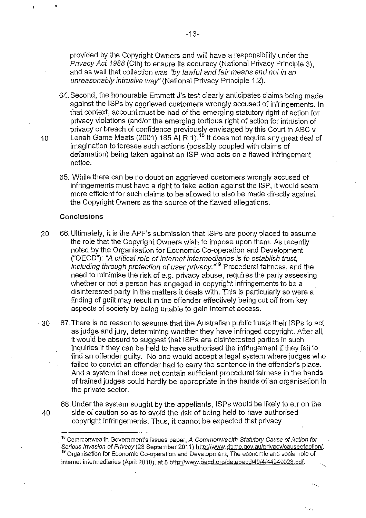provided by the Copyright Owners and will have a responsibility under the Privacy Act 1988 (Cth) to ensure its accuracy (National Privacy Principle 3), and as well that collection was "by lawful and fair means and not in an unreasonably intrusive way'' (National Privacy Principle 1.2).

64. Second, the honourable Emmett J's test clearly anticipates claims being made against the ISPs by aggrieved customers wrongly accused of infringements. In that context, account must be had of the emerging statutory right of action for privacy violations (and/or the emerging tortious right of action for intrusion of privacy or breach of confidence previously envisaged by this Court in ABC v

- 10 Lenah Game Meats (2001) 185 ALR 1).<sup>18</sup> It does not require any great deal of imagination to foresee such actions (possibly coupled with claims of defamation) being taken against an JSP who acts on a flawed infringement notice.
	- 65. While there can be no doubt an aggrieved customers wrongly accused of infringements must have a right to take action against the ISP, it would seem more efficient for such claims to be allowed to also be made directly against the Copyright Owners as the source of the flawed allegations.

#### Conclusions

- 20 66. Ultimately, it is the APF's submission that ISPs are poorly placed to assume the role that the Copyright Owners wish to impose upon them. As recently noted by the Organisation for Economic Co-operation and Development ("OECD"): 'fl. critical role of Internet intermediaries is to establish trust, including through protection of user privacy."<sup>19</sup> Procedural fairness, and the need to minimise the risk of e.g. privacy abuse, requires the party assessing whether or not a person has engaged in copyright infringements to be a disinterested party in the matters it deals with. This is particularly so were a finding of guilt may result in the offender effectively being cut off from key aspects of society by being unable to gain Internet access.
- 30 67. There is no reason to assume that the Australian public trusts their JSPs to act as judge and jury, determining whether they have infringed copyright. After all, it would be absurd to suggest that JSPs are disinterested parties in such inquiries if they can be held to have authorised the infringement if they fail to find an offender guilty. No one would accept a legal system where judges who failed to convict an offender had to carry the sentence in the offender's place. And a system that does not contain sufficient procedural fairness in the hands of trained judges could hardly be appropriate in the hands of an organisation in the private sector.
- 68. Under the system sought by the appellants, ISPs would be likely to err on the 40 side of caution so as to avoid the risk of being held to have authorised copyright infringements. Thus, it cannot be expected that privacy

•

н.

<sup>&</sup>lt;sup>18</sup> Commonwealth Government's issues paper, A Commonwealth Statutory Cause of Action for Serious Invasion of Privacy (23 September 2011) http://www.dpmc.gov.au/privacy/causeofaction/. <sup>19</sup> Organisation for Economic Co-operation and Development, The economic and social role of internet intermediaries (April2010), at 8 http://www.o'ecd.orgldataoecdl4914/44949023.odf.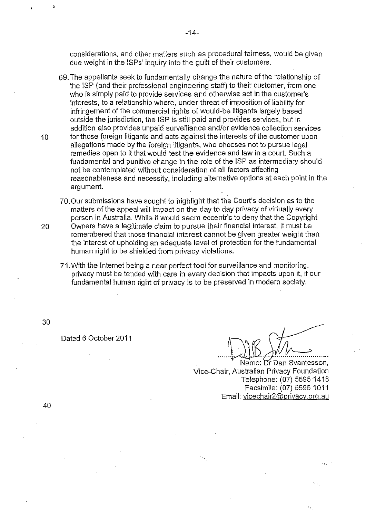considerations, and other matters such as procedural fairness, would be given due weight in the ISPs' inquiry into the guilt of their customers.

- 69. The appellants seek to fundamentally change the nature of the relationship of the JSP (and their professional engineering staff) to their customer, from one who is simply paid to provide services and otherwise act in the customer's interests, to a relationship where, under threat of imposition of liability for infringement of the commercial rights of would-be litigants largely based outside the jurisdiction, the JSP is still paid and provides services, but in addition also provides unpaid surveillance and/or evidence collection services 10 for those foreign litigants and acts against the interests of the customer upon allegations made by the foreign litigants, who chooses not to pursue legal remedies open to it that would test the evidence and law in a court. Such a fundamental and punitive change in the role of the JSP as intermediary should not be contemplated without consideration of all factors affecting reasonableness and necessity, including alternative options at each point in the argument.
- 70. Our submissions have sought to highlight that the Court's decision as to the matters of the appeal will impact on the day to day privacy of virtually every person in Australia. While it would seem eccentric to deny that the Copyright 20 Owners have a legitimate claim to pursue their financial interest, it must be remembered that those financial interest cannot be given greater weight than the interest of upholding an adequate level of protection for the fundamental human right to be shielded from privacy violations.
	- · 71. With the Internet being a near perfect tool for surveillance and monitoring, privacy must be tended with care in every decision that impacts upon it, if our fundamental human right of privacy is to be preserved in modern society.

30

#### Dated 6 October 2011

Name: Dr Dan Svantesson, Vice-Chair, Australian Privacy Foundation Telephone: (07) 55951418 Facsimile: (07) 5595 1011 Email: vicechair2@privacy.org.au

•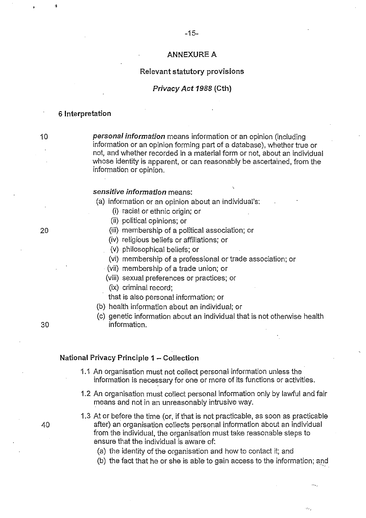#### ANNEXURE A

-15-

#### Relevant statutory provisions

#### Privacy Act 1988 (Cth)

#### 6 Interpretation

10

 $\overline{A}$ 

personal information means information or an opinion (including information or an opinion forming part of a database), whether true or not, and whether recorded in a material form or not, about an individual whose identity is apparent, or can reasonably be ascertained, from the information or opinion.

#### sensitive information means:

(a) information or an opinion about an individual's:

- (i) racial or ethnic origin; or
- (ii) political opinions; or
- (iii) membership of a political association; or
- (iv) religious beliefs or affiliations; or
- (v) philosophical beliefs; or
- (vi) membership of a professional or trade association; or
- · (vii) membership of a trade union; or
- (viii) sexual preferences or practices; or
- (ix) criminal record;
- that is also personal information; or
- (b) health information about an individual; or
- (c) genetic information about an individual that is not otherwise health information.

#### National Privacy Principle 1 - Collection

- 1.1 An organisation must not collect personal information unless the information is necessary for one or more of its functions or activities.
- 1.2 An organisation must collect personal information only by lawful and fair means and not in an unreasonably intrusive way.
- 1.3 At or before the time (or, if that is not practicable, as soon as practicable 40 after) an organisation collects personal information about an individual from the individual, the organisation must take reasonable steps to ensure that the individual is aware of:
	- (a) the identity of the organisation and how to contact it; and
	- (b) the fact that he or she is able to gain access to the information; and

ЧV.

20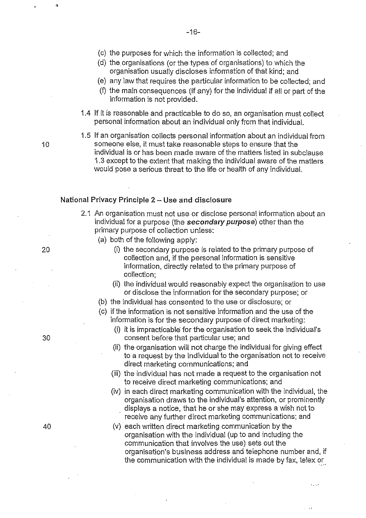- (d) the organisations (or the types of organisations) to which the organisation usually discloses information of that kind; and
- (e) any law that requires the particular information to be collected; and
- (f) the main consequences (if any) for the individual if all or part of the information is not provided.
- 1.4 If it is reasonable and practicable to do so, an organisation must collect personal information about an individual only from that individual.
- 1.5 If an organisation collects personal information about an individual from 10 someone else, it must take reasonable steps to ensure that the individual is or has been made aware of the matters listed in subclause 1.3 except to the extent that making the individual aware of the matters would pose a serious threat to the life or health of any individual.

#### National Privacy Principle 2- Use and disclosure

- 2.1 An organisation must not use or disclose personal information about an individual for a purpose (the secondary purpose) other than the primary purpose of collection unless:
	- (a) both of the following apply:
- 20 (i) the secondary purpose is related to the primary purpose of collection and, if the personal information is sensitive information, directly related to the primary purpose of collection;
	- (ii) the individual would reasonably expect the organisation to use or disclose the information for the secondary purpose; or
	- (b) the individual has consented to the use or disclosure; or
	- (c) if the information is not sensitive information and the use of the information is for the secondary purpose of direct marketing:
- (i) it is impracticable for the organisation to seek the individual's 30 consent before that particular use; and
	- (ii) the organisation will not charge the individual for giving effect to a request by the individual to the organisation not to receive direct marketing communications; and
	- (iii) the individual has not made a request to the organisation not to receive direct marketing communications; and
	- (iv) in each direct marketing communication with the individual, the organisation draws to the individual's attention, or prominently . displays a notice, that he or she may express a wish not to receive any further direct marketing communications; and
- 40 (v) each written direct marketing communication by the organisation with the individual (up to and including the communication that involves the use) sets out the organisation's business address and telephone number and, if the communication with the individual is made by fax, telex or

•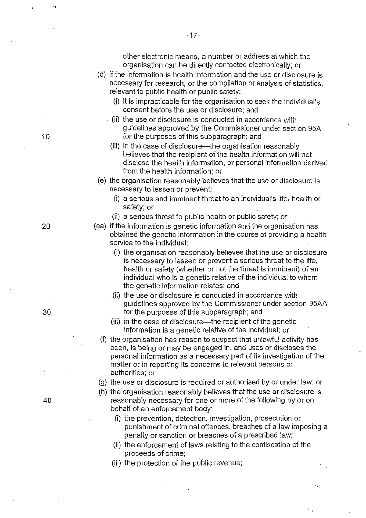other electronic means, a number or address at which the organisation can be directly contacted electronically; or

- (d) if the information is health information and the use or disclosure is necessary for research, or the compilation or analysis of statistics, relevant to public health or public safety:
	- (i) it is impracticable for the organisation to seek the individual's consent before the use or disclosure; and
	- (ii) the use or disclosure is conducted in accordance with guidelines approved by the Commissioner under section 95A for the purposes of this subparagraph; and
		- (iii) in the case of disclosure—the organisation reasonably believes that the recipient of the health information will not disclose the health information, or personal information derived from the health information; or
- (e) the organisation reasonably believes that the use or disclosure is necessary to lessen or prevent:
	- (i) a serious and imminent threat to an individual's life; health or safety; or
	- (ii) a serious threat to public health or public safety; or
- (ea) if the information is genetic information and the organisation has obtained the genetic information in the course of providing a health service to the individual:
	- (i) the organisation reasonably believes that the use or disclosure is necessary to lessen or prevent a serious threat to the life, health or safety (whether or not the threat is imminent) of an individual who is a genetic relative of the individual to whom the genetic information relates; and
	- (ii) the use or disclosure is conducted in accordance with guidelines approved by the Commissioner under section 95AA for the purposes of this subparagraph; and
	- (iii) in the case of disclosure—the recipient of the genetic information is a genetic relative of the individual; or
	- (f) the organisation has reason to suspect that unlawful activity has been, is being or may be engaged in, and uses or discloses the personal information as a necessary part of its investigation of the matter or in reporting its concerns to relevant persons or authorities; or
	- (g) the use or disclosure is required or authorised by or under Jaw; or
	- (h) the organisation reasonably believes that the use or disclosure is reasonably necessary for one or more of the following by or on behalf of an enforcement body:
		- (i) the prevention, detection, investigation, prosecution or punishment of criminal offences, breaches of a law imposing a penalty or sanction or breaches of a prescribed law;
		- (ii) the enforcement of laws relating to the confiscation of the proceeds of crime;
		- (iii) the protection of the public revenue;

20

10

30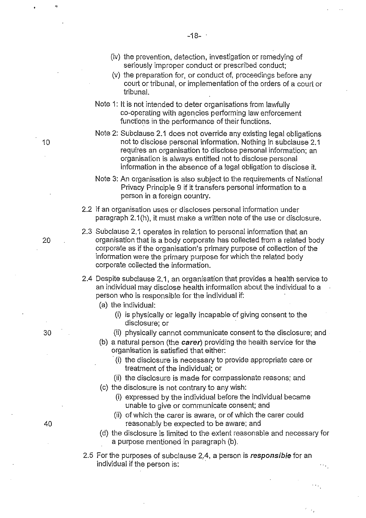- (iv) the prevention, detection, investigation or remedying of seriously improper conduct or prescribed conduct;
- (v) the preparation for, or conduct of, proceedings before any court or tribunal, or implementation of the orders of a court or tribunal.
- Note 1: It is not intended to deter organisations from lawfully co-operating with agencies performing law enforcement functions in the performance of their functions.
- Note 2: Subclause 2.1 does not override any existing legal obligations not to disclose personal information. Nothing in subclause 2.1 requires an organisation to disclose personal information; an organisation is always entitled not to disclose personal information in the absence of a legal obligation to disclose it.
- Note 3: An organisation is also subject to the requirements of National Privacy Principle 9 if it transfers personal information to a person in a foreign country.
- 2.2 If an organisation uses or discloses personal information under paragraph 2.1 (h), it must make a written note of the use or disclosure.
- 2.3 Subclause 2.1 operates in relation to personal information that an 20 comports are in that is a body corporate has collected from a related body corporate as if the organisation's primary purpose of collection of the information were the primary purpose for which the related body corporate collected the information.
	- 2.4 Despite subclause 2.1, an organisation that provides a health service to an individual may disclose health information about the individual to a person who is responsible for the individual if:
		- (a) the individual:
			- (i) is physically or legally incapable of giving consent to the disclosure; or
- 30 (ii) physically cannot communicate consent to the disclosure; and
	- (b) a natural person (the **carer)** providing the health service for the organisation is satisfied that either:
		- · (i) the disclosure is necessary to provide appropriate care or treatment of the individual; or
		- (ii) the disclosure is made for compassionate reasons; and
	- (c) the disclosure is not contrary to any wish:
		- (i) expressed by the individual before the individual became unable to give or communicate consent; and
- (ii) of which the carer is aware, or of which the carer could 40 reasonably be expected to be aware; and
	- (d) the disclosure is limited to the extent reasonable and necessary for a purpose mentioned in paragraph (b).
	- 2.5 For the purposes of subclause 2,4, a person is *responsible* for an individual if the person is: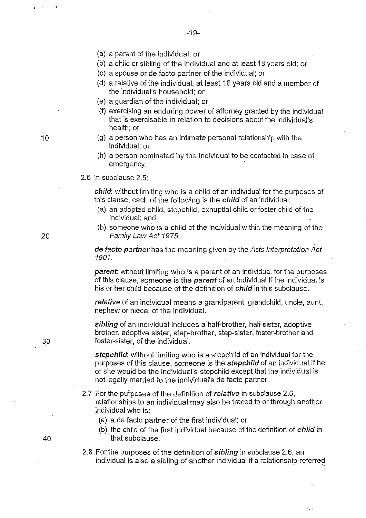- (a) a parent of the individual; or
- (b) a child or sibling of the individual and at least 18 years old; or
- (c) a spouse or de facto partner of the individual; or
- (d) a relative of the individual, at least 18 years old and a member of the individual's household; or
- (e) a guardian of the individual; or
- (f) exercising an enduring power of attorney granted by the individual that is exercisable in relation to decisions about the individual's health; or
- (g) a person who has an intimate personal relationship with the individual; or
- (h) a person nominated by the individual to be contacted in case of emergency.
- 2.6 In subclause 2.5:

child: without limiting who is a child of an individual for the purposes of this clause, each of the following is the *child* of an individual:

- (a) an adopted child, stepchild, exnuptial child or foster child of the individual; and
- (b) someone who is a child of the individual within the meaning of the Family Law Act 1975.

de facto partner has the meaning given by the Acts Interpretation Act 1901.

parent. without limiting who is a parent of an individual for the purposes of this clause, someone is the *parent* of an individual if the individual is his or her child because of the definition of *child* in this subclause.

relative of an individual means a grandparent, grandchild, uncle, aunt, nephew or niece, of the individual.

sibling of an individual includes a half-brother, half-sister, adoptive brother, adoptive sister, step-brother, step-sister, foster-brother and foster-sister, of the individual.

stepchild: without limiting who is a stepchild of an individual for the purposes of this clause, someone is the *stepchild* of an individual if he or she would be the individual's stepchild except that the individual is not legally married to the individual's de facto partner.

- 2.7 For the purposes of the definition of relative in subclause 2.6, relationships to an individual may also be traced to or through another individual who is:
	- (a) a de facto partner of the first individual; or
- (b) the child of the first individual because of the definition of child in 40 that subclause.

 $\overline{f}$ 

2.8 For the purposes of the definition of *sibling* in subclause 2.6, an individual is also a sibling of another individual if a relationship referred

10

20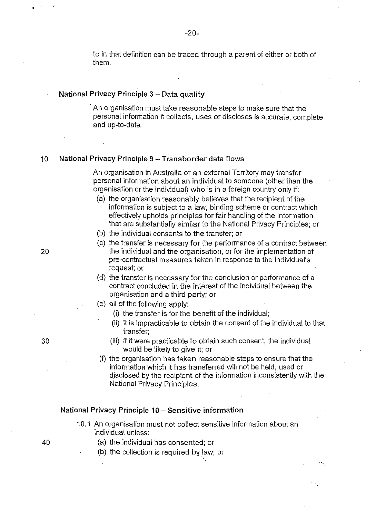to in that definition can be traced through a parent of either or both of them.

# National Privacy Principle 3- Data quality

·An organisation must take reasonable steps to make sure that the personal information it collects, uses or discloses is accurate, complete and up-to-date.

#### 10 National Privacy Principle 9- Transborder data flows

An organisation in Australia or an external Territory may transfer personal information about an individual to someone (other than the organisation or the individual) who is in a foreign country only if:

- (a) the organisation reasonably believes that the recipient of the information is subject to a law, binding scheme or contract which effectively upholds principles for fair handling of the information that are substantially similar to the National Privacy Principles; or
- (b) the individual consents to the transfer; or
- (c) the transfer is necessary for the performance of a contract between 20 the individual and the organisation, or for the implementation of pre-contractual measures taken in response to the individual's request; or
	- (d) the transfer is necessary for the conclusion or performance of a contract concluded in the interest of the individual between the organisation and a third party; or
	- (e) all of the following apply:
		- (i) the transfer is for the benefit of the individual;
		- (ii) it is impracticable to obtain the consent of the individual to that transfer;
- 30 (iii) if it were practicable to obtain such consent, the individual would be likely to give it; or
	- (f) the organisation has taken reasonable steps to ensure that the information which it has transferred will not be held, used or disclosed by the recipient of the information inconsistently with the National Privacy Principles.

''

#### National Privacy Principle 10 - Sensitive information

- 10.1 An organisation must not collect sensitive information about an individual unless:
- 
- 40 (a) the individual has consented; or
	- (b) the collection is required by law; or  $\frac{1}{2}$

শ<br>|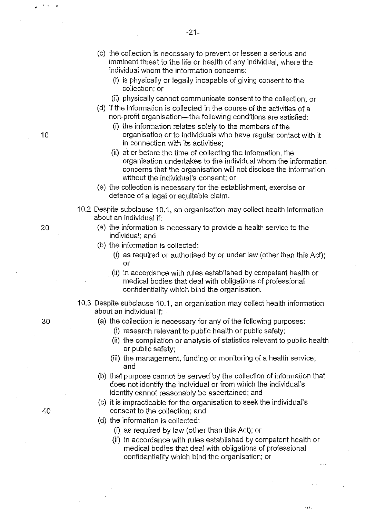- (c) the collection is necessary to prevent or lessen a serious and imminent threat to the life or health of any individual, where the individual whom the information concerns:
	- (i) is physically or legally incapable of giving consent to the collection; or
	- (ii) physically cannot communicate consent to the collection; or
- (d) if the information is collected in the course of the activities of a non-profit organisation—the following conditions are satisfied:
	- (i) the information relates solely to the members of the organisation or to individuals who have regular contact with it in connection with its activities;
	- (ii) at or before the time of collecting the information, the organisation undertakes to the individual whom the information concerns that the organisation will not disclose the information without the individual's consent; or
- (e) the collection is necessary for the establishment, exercise or defence of a legal or equitable claim.
- 10.2 Despite subclause 10.1, an organisation may collect health information about an individual if:
	- (a) the information is necessary to provide a health service to the individual; and
	- (b) the information is collected:
		- (i) as required'or authorised by or under law (other than this Act); or
		- (ii) in accordance with rules established by competent health or medical bodies that deal with obligations of professional confidentiality which bind the organisation.
- 10.3 Despite subclause 10.1, an organisation may collect health information about an individual if: .
- 30 (a) the collection is necessary for any of the following purposes:
	- (i) research relevant to public health or public safety;
	- (ii) the compilation or analysis of statistics relevant to public health or public safety;
	- (iii) the management, funding or monitoring of a health service; and
	- (b) that purpose cannot be served by the collection of information that does not identify the individual or from which the individual's identity cannot reasonably be ascertained; and
- (c) it is impracticable for the organisation to seek the individual's 40 consent to the collection; and
	- (d) the information is collected:
		- (i) as required by law (other than this Act); or
		- (ii) in accordance with rules established by competent health or medical bodies that deal with obligations of professional .confidentiality which bind the organisation; or

pe b

20

10

 $\mathbf{r}$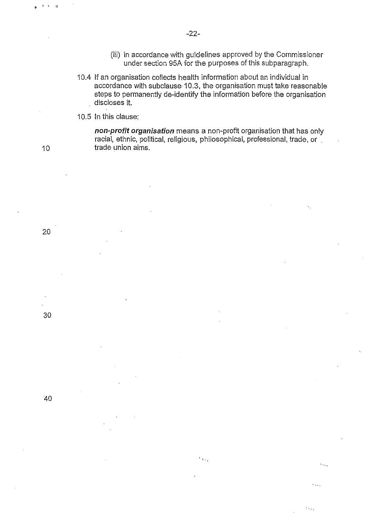- (iii) in accordance with guidelines approved by the Commissioner under section 95A for the purposes of this subparagraph.
- 10.4 If an organisation collects health information about an individual in accordance with subclause 10.3, the organisation must take reasonable steps to permanently de-identify the information before the organisation discloses it.
- 10.5 In this clause:

**non-profit organisation** means a non-profit organisation that has only racial, ethnic, political, religious, philosophical, professional, trade, or trade union aims.

 $\Delta$  .

....

 $\hat{r}$  ,  $\hat{r}$  ,

 $\sim$  .

10

**0 1 ' \'7**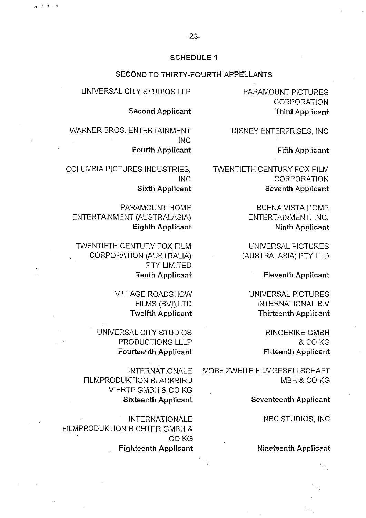### SCHEDULE 1

# SECOND TO THIRTY-FOURTH APPELLANTS

PARAMOUNT PICTURES CORPORATION Third Applicant

DISNEY ENTERPRISES, INC

Fifth Applicant

TWENTIETH CENTURY FOX FILM CORPORATION Seventh Applicant

> BUENA VISTA HOME ENTERTAINMENT, INC. Ninth Applicant

UNIVERSAL PICTURES (AUSTRALASIA) PTY LTD

Eleventh Applicant

UNIVERSAL PICTURES INTERNATIONAL B.V Thirteenth Applicant

> RINGERIKE GMBH &COKG Fifteenth Applicant

MDBF ZWEITE FILMGESELLSCHAFT MBH & CO KG

Seventeenth Applicant

NBC STUDIOS, INC

Nineteenth Applicant

UNIVERSAL CITY STUDIOS LLP

d ' ' -d

Second Applicant

WARNER BROS. ENTERTAINMENT INC Fourth Applicant

COLUMBIA PICTURES INDUSTRIES, INC Sixth Applicant

PARAMOUNT HOME ENTERTAINMENT (AUSTRALASIA) Eighth Applicant

TWENTIETH CENTURY FOX FILM CORPORATION (AUSTRALIA) PTY LIMITED Tenth Applicant

> VILLAGE ROADSHOW FILMS (BVI) LTD Twelfth Applicant

UNIVERSAL CITY STUDIOS PRODUCTIONS LLLP Fourteenth Applicant

INTERNATIONALE FILMPRODUKTION BLACKBIRD VIERTE GMBH & CO KG Sixteenth Applicant

INTERNATIONALE FILMPRODUKTION RICHTER GMBH & COKG Eighteenth Applicant